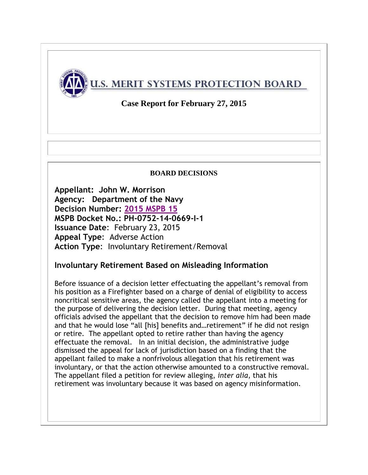

**Case Report for February 27, 2015**

#### **BOARD DECISIONS**

**Appellant: John W. Morrison Agency: Department of the Navy Decision Number: 2015 [MSPB 15](http://www.mspb.gov/netsearch/viewdocs.aspx?docnumber=1141826&version=1146332&application=ACROBAT) MSPB Docket No.: PH-0752-14-0669-I-1 Issuance Date**: February 23, 2015 **Appeal Type**: Adverse Action **Action Type**: Involuntary Retirement/Removal

#### **Involuntary Retirement Based on Misleading Information**

Before issuance of a decision letter effectuating the appellant's removal from his position as a Firefighter based on a charge of denial of eligibility to access noncritical sensitive areas, the agency called the appellant into a meeting for the purpose of delivering the decision letter. During that meeting, agency officials advised the appellant that the decision to remove him had been made and that he would lose "all [his] benefits and…retirement" if he did not resign or retire. The appellant opted to retire rather than having the agency effectuate the removal. In an initial decision, the administrative judge dismissed the appeal for lack of jurisdiction based on a finding that the appellant failed to make a nonfrivolous allegation that his retirement was involuntary, or that the action otherwise amounted to a constructive removal. The appellant filed a petition for review alleging, *inter alia*, that his retirement was involuntary because it was based on agency misinformation.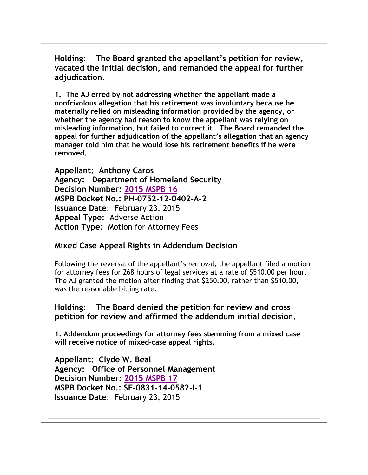**Holding: The Board granted the appellant's petition for review, vacated the initial decision, and remanded the appeal for further adjudication.** 

**1. The AJ erred by not addressing whether the appellant made a nonfrivolous allegation that his retirement was involuntary because he materially relied on misleading information provided by the agency, or whether the agency had reason to know the appellant was relying on misleading information, but failed to correct it. The Board remanded the appeal for further adjudication of the appellant's allegation that an agency manager told him that he would lose his retirement benefits if he were removed.**

**Appellant: Anthony Caros Agency: Department of Homeland Security Decision Number: 2015 [MSPB 16](http://www.mspb.gov/netsearch/viewdocs.aspx?docnumber=1141851&version=1146357&application=ACROBAT) MSPB Docket No.: PH-0752-12-0402-A-2 Issuance Date**: February 23, 2015 **Appeal Type**: Adverse Action **Action Type**: Motion for Attorney Fees

## **Mixed Case Appeal Rights in Addendum Decision**

Following the reversal of the appellant's removal, the appellant filed a motion for attorney fees for 268 hours of legal services at a rate of \$510.00 per hour. The AJ granted the motion after finding that \$250.00, rather than \$510.00, was the reasonable billing rate.

**Holding: The Board denied the petition for review and cross petition for review and affirmed the addendum initial decision.** 

**1. Addendum proceedings for attorney fees stemming from a mixed case will receive notice of mixed-case appeal rights.**

**Appellant: Clyde W. Beal Agency: Office of Personnel Management Decision Number: 2015 [MSPB 17](http://www.mspb.gov/netsearch/viewdocs.aspx?docnumber=1141890&version=1146396&application=ACROBAT) MSPB Docket No.: SF-0831-14-0582-I-1 Issuance Date**: February 23, 2015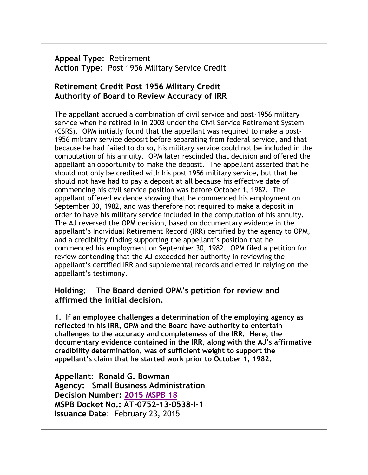**Appeal Type**: Retirement **Action Type**: Post 1956 Military Service Credit

## **Retirement Credit Post 1956 Military Credit Authority of Board to Review Accuracy of IRR**

The appellant accrued a combination of civil service and post-1956 military service when he retired in in 2003 under the Civil Service Retirement System (CSRS). OPM initially found that the appellant was required to make a post-1956 military service deposit before separating from federal service, and that because he had failed to do so, his military service could not be included in the computation of his annuity. OPM later rescinded that decision and offered the appellant an opportunity to make the deposit. The appellant asserted that he should not only be credited with his post 1956 military service, but that he should not have had to pay a deposit at all because his effective date of commencing his civil service position was before October 1, 1982. The appellant offered evidence showing that he commenced his employment on September 30, 1982, and was therefore not required to make a deposit in order to have his military service included in the computation of his annuity. The AJ reversed the OPM decision, based on documentary evidence in the appellant's Individual Retirement Record (IRR) certified by the agency to OPM, and a credibility finding supporting the appellant's position that he commenced his employment on September 30, 1982. OPM filed a petition for review contending that the AJ exceeded her authority in reviewing the appellant's certified IRR and supplemental records and erred in relying on the appellant's testimony.

#### **Holding: The Board denied OPM's petition for review and affirmed the initial decision.**

**1. If an employee challenges a determination of the employing agency as reflected in his IRR, OPM and the Board have authority to entertain challenges to the accuracy and completeness of the IRR. Here, the documentary evidence contained in the IRR, along with the AJ's affirmative credibility determination, was of sufficient weight to support the appellant's claim that he started work prior to October 1, 1982.**

**Appellant: Ronald G. Bowman Agency: Small Business Administration Decision Number: 2015 [MSPB 18](http://www.mspb.gov/netsearch/viewdocs.aspx?docnumber=1141900&version=1146406&application=ACROBAT) MSPB Docket No.: AT-0752-13-0538-I-1 Issuance Date**: February 23, 2015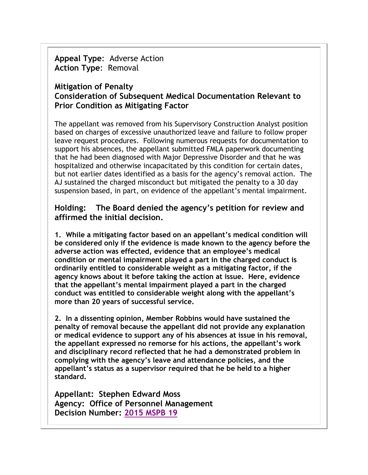**Appeal Type**: Adverse Action **Action Type**: Removal

### **Mitigation of Penalty Consideration of Subsequent Medical Documentation Relevant to Prior Condition as Mitigating Factor**

The appellant was removed from his Supervisory Construction Analyst position based on charges of excessive unauthorized leave and failure to follow proper leave request procedures. Following numerous requests for documentation to support his absences, the appellant submitted FMLA paperwork documenting that he had been diagnosed with Major Depressive Disorder and that he was hospitalized and otherwise incapacitated by this condition for certain dates, but not earlier dates identified as a basis for the agency's removal action. The AJ sustained the charged misconduct but mitigated the penalty to a 30 day suspension based, in part, on evidence of the appellant's mental impairment.

#### **Holding: The Board denied the agency's petition for review and affirmed the initial decision.**

**1. While a mitigating factor based on an appellant's medical condition will be considered only if the evidence is made known to the agency before the adverse action was effected, evidence that an employee's medical condition or mental impairment played a part in the charged conduct is ordinarily entitled to considerable weight as a mitigating factor, if the agency knows about it before taking the action at issue. Here, evidence that the appellant's mental impairment played a part in the charged conduct was entitled to considerable weight along with the appellant's more than 20 years of successful service.** 

**2. In a dissenting opinion, Member Robbins would have sustained the penalty of removal because the appellant did not provide any explanation or medical evidence to support any of his absences at issue in his removal, the appellant expressed no remorse for his actions, the appellant's work and disciplinary record reflected that he had a demonstrated problem in complying with the agency's leave and attendance policies, and the appellant's status as a supervisor required that he be held to a higher standard.** 

**Appellant: Stephen Edward Moss Agency: Office of Personnel Management Decision Number: [2015 MSPB 19](http://www.mspb.gov/netsearch/viewdocs.aspx?docnumber=1142441&version=1146947&application=ACROBAT)**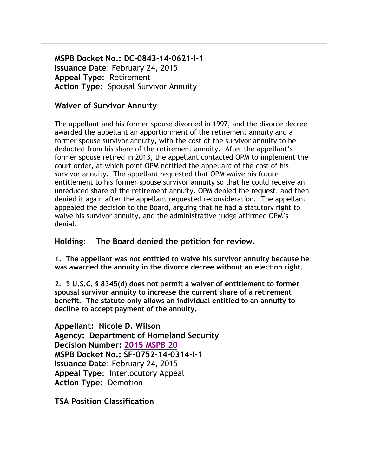**MSPB Docket No.: DC-0843-14-0621-I-1 Issuance Date**: February 24, 2015 **Appeal Type**: Retirement **Action Type**: Spousal Survivor Annuity

#### **Waiver of Survivor Annuity**

The appellant and his former spouse divorced in 1997, and the divorce decree awarded the appellant an apportionment of the retirement annuity and a former spouse survivor annuity, with the cost of the survivor annuity to be deducted from his share of the retirement annuity. After the appellant's former spouse retired in 2013, the appellant contacted OPM to implement the court order, at which point OPM notified the appellant of the cost of his survivor annuity. The appellant requested that OPM waive his future entitlement to his former spouse survivor annuity so that he could receive an unreduced share of the retirement annuity. OPM denied the request, and then denied it again after the appellant requested reconsideration. The appellant appealed the decision to the Board, arguing that he had a statutory right to waive his survivor annuity, and the administrative judge affirmed OPM's denial.

#### **Holding: The Board denied the petition for review.**

**1. The appellant was not entitled to waive his survivor annuity because he was awarded the annuity in the divorce decree without an election right.** 

**2. 5 U.S.C. § 8345(d) does not permit a waiver of entitlement to former spousal survivor annuity to increase the current share of a retirement benefit. The statute only allows an individual entitled to an annuity to decline to accept payment of the annuity.** 

**Appellant: Nicole D. Wilson Agency: Department of Homeland Security Decision Number: [2015 MSPB 20](http://www.mspb.gov/netsearch/viewdocs.aspx?docnumber=1142493&version=1146999&application=ACROBAT) MSPB Docket No.: SF-0752-14-0314-I-1 Issuance Date**: February 24, 2015 **Appeal Type**: Interlocutory Appeal **Action Type**: Demotion

**TSA Position Classification**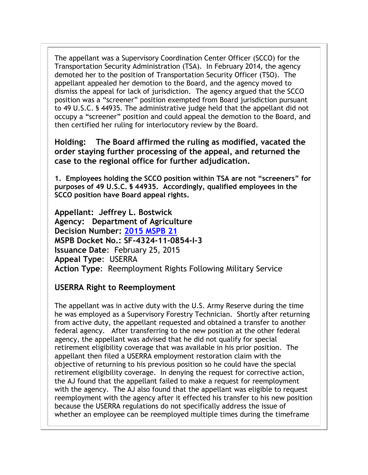The appellant was a Supervisory Coordination Center Officer (SCCO) for the Transportation Security Administration (TSA). In February 2014, the agency demoted her to the position of Transportation Security Officer (TSO). The appellant appealed her demotion to the Board, and the agency moved to dismiss the appeal for lack of jurisdiction. The agency argued that the SCCO position was a "screener" position exempted from Board jurisdiction pursuant to 49 U.S.C. § 44935. The administrative judge held that the appellant did not occupy a "screener" position and could appeal the demotion to the Board, and then certified her ruling for interlocutory review by the Board.

**Holding: The Board affirmed the ruling as modified, vacated the order staying further processing of the appeal, and returned the case to the regional office for further adjudication.** 

**1. Employees holding the SCCO position within TSA are not "screeners" for purposes of 49 U.S.C. § 44935. Accordingly, qualified employees in the SCCO position have Board appeal rights.**

**Appellant: Jeffrey L. Bostwick Agency: Department of Agriculture Decision Number: 2015 [MSPB 21](http://www.mspb.gov/netsearch/viewdocs.aspx?docnumber=1142777&version=1147285&application=ACROBAT) MSPB Docket No.: SF-4324-11-0854-I-3 Issuance Date**: February 25, 2015 **Appeal Type**: USERRA **Action Type**: Reemployment Rights Following Military Service

#### **USERRA Right to Reemployment**

The appellant was in active duty with the U.S. Army Reserve during the time he was employed as a Supervisory Forestry Technician. Shortly after returning from active duty, the appellant requested and obtained a transfer to another federal agency. After transferring to the new position at the other federal agency, the appellant was advised that he did not qualify for special retirement eligibility coverage that was available in his prior position. The appellant then filed a USERRA employment restoration claim with the objective of returning to his previous position so he could have the special retirement eligibility coverage. In denying the request for corrective action, the AJ found that the appellant failed to make a request for reemployment with the agency. The AJ also found that the appellant was eligible to request reemployment with the agency after it effected his transfer to his new position because the USERRA regulations do not specifically address the issue of whether an employee can be reemployed multiple times during the timeframe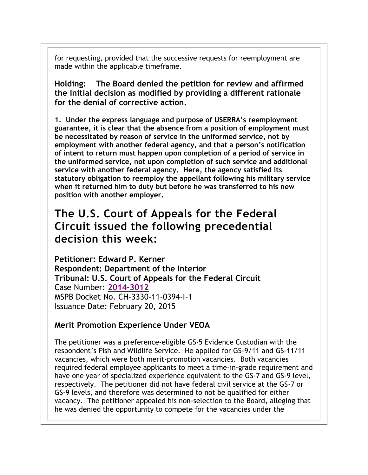for requesting, provided that the successive requests for reemployment are made within the applicable timeframe.

**Holding: The Board denied the petition for review and affirmed the initial decision as modified by providing a different rationale for the denial of corrective action.** 

**1. Under the express language and purpose of USERRA's reemployment guarantee, it is clear that the absence from a position of employment must be necessitated by reason of service in the uniformed service, not by employment with another federal agency, and that a person's notification of intent to return must happen upon completion of a period of service in the uniformed service, not upon completion of such service and additional service with another federal agency. Here, the agency satisfied its statutory obligation to reemploy the appellant following his military service when it returned him to duty but before he was transferred to his new position with another employer.**

## **The U.S. Court of Appeals for the Federal Circuit issued the following precedential decision this week:**

**Petitioner: Edward P. Kerner Respondent: Department of the Interior Tribunal: U.S. Court of Appeals for the Federal Circuit**  Case Number: **[2014-3012](http://www.cafc.uscourts.gov/images/stories/opinions-orders/14-3012.Opinion.2-18-2015.1.PDF)** MSPB Docket No. CH-3330-11-0394-I-1 Issuance Date: February 20, 2015

#### **Merit Promotion Experience Under VEOA**

The petitioner was a preference-eligible GS-5 Evidence Custodian with the respondent's Fish and Wildlife Service. He applied for GS-9/11 and GS-11/11 vacancies, which were both merit-promotion vacancies. Both vacancies required federal employee applicants to meet a time-in-grade requirement and have one year of specialized experience equivalent to the GS-7 and GS-9 level, respectively. The petitioner did not have federal civil service at the GS-7 or GS-9 levels, and therefore was determined to not be qualified for either vacancy. The petitioner appealed his non-selection to the Board, alleging that he was denied the opportunity to compete for the vacancies under the